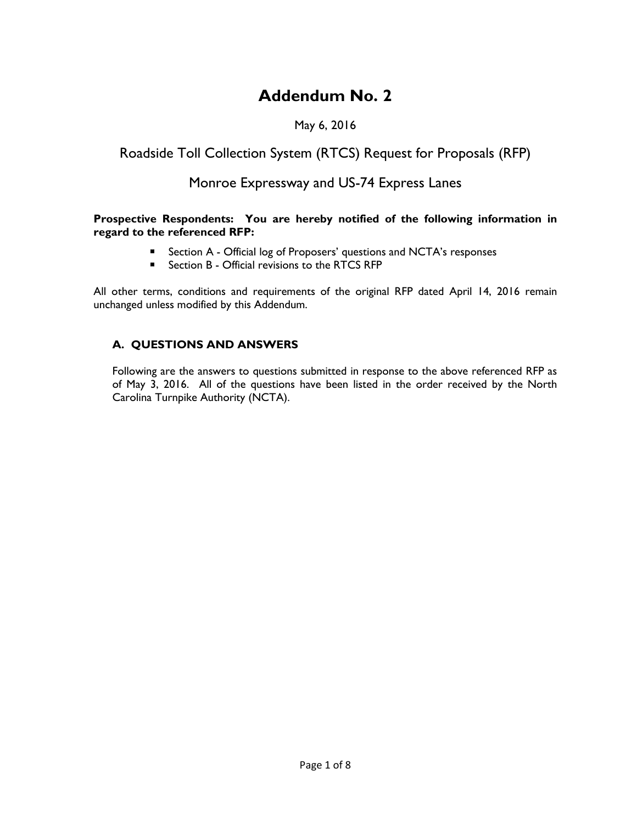# **Addendum No. 2**

### May 6, 2016

# Roadside Toll Collection System (RTCS) Request for Proposals (RFP)

## Monroe Expressway and US-74 Express Lanes

#### **Prospective Respondents: You are hereby notified of the following information in regard to the referenced RFP:**

- Section A Official log of Proposers' questions and NCTA's responses
- Section B Official revisions to the RTCS RFP

All other terms, conditions and requirements of the original RFP dated April 14, 2016 remain unchanged unless modified by this Addendum.

#### **A. QUESTIONS AND ANSWERS**

Following are the answers to questions submitted in response to the above referenced RFP as of May 3, 2016. All of the questions have been listed in the order received by the North Carolina Turnpike Authority (NCTA).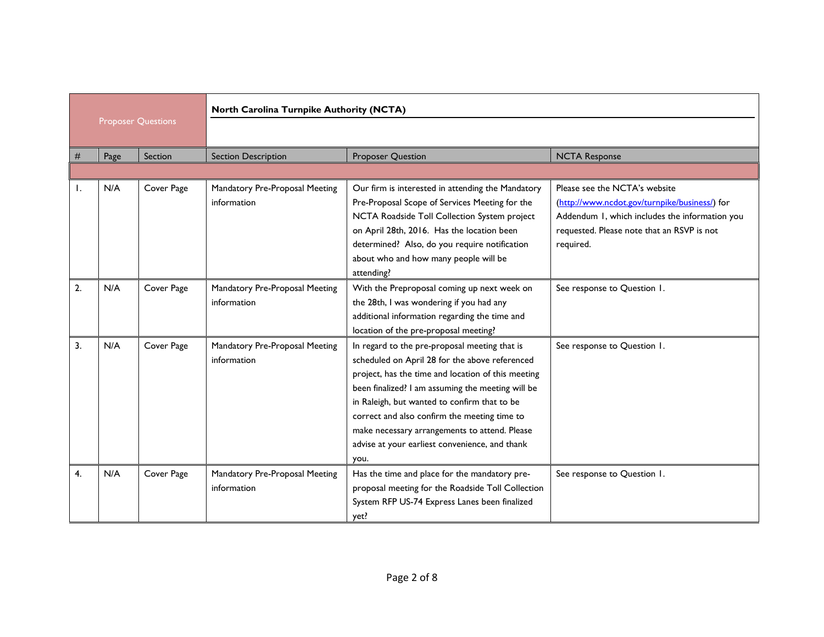| <b>Proposer Questions</b> |      |            | North Carolina Turnpike Authority (NCTA)      |                                                                                                                                                                                                                                                                                                                                                                                                                       |                                                                                                                                                                                             |  |
|---------------------------|------|------------|-----------------------------------------------|-----------------------------------------------------------------------------------------------------------------------------------------------------------------------------------------------------------------------------------------------------------------------------------------------------------------------------------------------------------------------------------------------------------------------|---------------------------------------------------------------------------------------------------------------------------------------------------------------------------------------------|--|
|                           |      |            |                                               |                                                                                                                                                                                                                                                                                                                                                                                                                       |                                                                                                                                                                                             |  |
|                           | Page | Section    | <b>Section Description</b>                    | <b>Proposer Question</b>                                                                                                                                                                                                                                                                                                                                                                                              | <b>NCTA Response</b>                                                                                                                                                                        |  |
|                           |      |            |                                               |                                                                                                                                                                                                                                                                                                                                                                                                                       |                                                                                                                                                                                             |  |
|                           | N/A  | Cover Page | Mandatory Pre-Proposal Meeting<br>information | Our firm is interested in attending the Mandatory<br>Pre-Proposal Scope of Services Meeting for the<br>NCTA Roadside Toll Collection System project<br>on April 28th, 2016. Has the location been<br>determined? Also, do you require notification<br>about who and how many people will be<br>attending?                                                                                                             | Please see the NCTA's website<br>(http://www.ncdot.gov/turnpike/business/) for<br>Addendum 1, which includes the information you<br>requested. Please note that an RSVP is not<br>required. |  |
| 2.                        | N/A  | Cover Page | Mandatory Pre-Proposal Meeting<br>information | With the Preproposal coming up next week on<br>the 28th, I was wondering if you had any<br>additional information regarding the time and<br>location of the pre-proposal meeting?                                                                                                                                                                                                                                     | See response to Question 1.                                                                                                                                                                 |  |
| $\overline{3}$ .          | N/A  | Cover Page | Mandatory Pre-Proposal Meeting<br>information | In regard to the pre-proposal meeting that is<br>scheduled on April 28 for the above referenced<br>project, has the time and location of this meeting<br>been finalized? I am assuming the meeting will be<br>in Raleigh, but wanted to confirm that to be<br>correct and also confirm the meeting time to<br>make necessary arrangements to attend. Please<br>advise at your earliest convenience, and thank<br>you. | See response to Question 1.                                                                                                                                                                 |  |
| $\mathbf{4}$              | N/A  | Cover Page | Mandatory Pre-Proposal Meeting<br>information | Has the time and place for the mandatory pre-<br>proposal meeting for the Roadside Toll Collection<br>System RFP US-74 Express Lanes been finalized<br>yet?                                                                                                                                                                                                                                                           | See response to Question 1.                                                                                                                                                                 |  |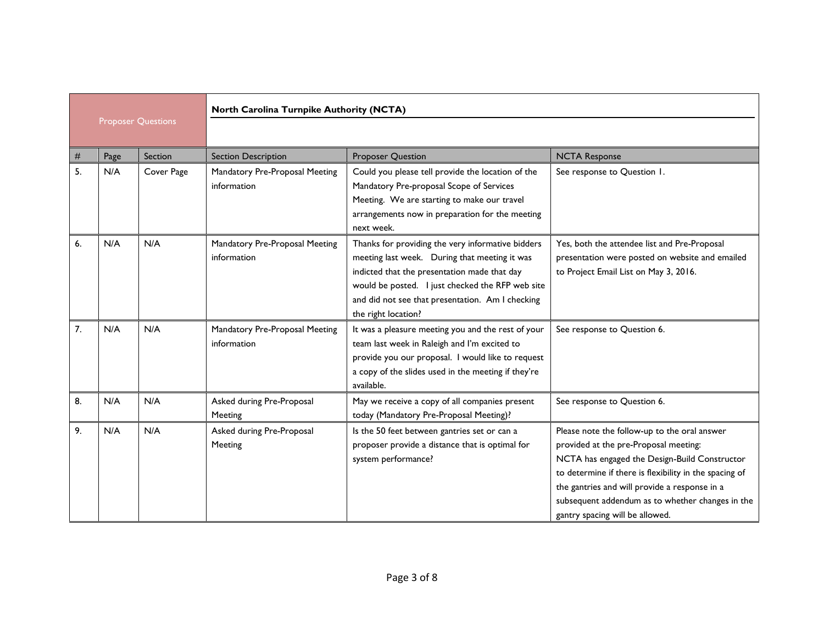| <b>Proposer Questions</b> |      |            | North Carolina Turnpike Authority (NCTA)      |                                                                                                                                                                                                                                                                                   |                                                                                                                                                                                                                                                                                                                                          |  |  |
|---------------------------|------|------------|-----------------------------------------------|-----------------------------------------------------------------------------------------------------------------------------------------------------------------------------------------------------------------------------------------------------------------------------------|------------------------------------------------------------------------------------------------------------------------------------------------------------------------------------------------------------------------------------------------------------------------------------------------------------------------------------------|--|--|
| #                         | Page | Section    | <b>Section Description</b>                    | <b>Proposer Question</b>                                                                                                                                                                                                                                                          | <b>NCTA Response</b>                                                                                                                                                                                                                                                                                                                     |  |  |
| 5.                        | N/A  | Cover Page | Mandatory Pre-Proposal Meeting<br>information | Could you please tell provide the location of the<br>Mandatory Pre-proposal Scope of Services<br>Meeting. We are starting to make our travel<br>arrangements now in preparation for the meeting<br>next week.                                                                     | See response to Question 1.                                                                                                                                                                                                                                                                                                              |  |  |
| 6.                        | N/A  | N/A        | Mandatory Pre-Proposal Meeting<br>information | Thanks for providing the very informative bidders<br>meeting last week. During that meeting it was<br>indicted that the presentation made that day<br>would be posted. I just checked the RFP web site<br>and did not see that presentation. Am I checking<br>the right location? | Yes, both the attendee list and Pre-Proposal<br>presentation were posted on website and emailed<br>to Project Email List on May 3, 2016.                                                                                                                                                                                                 |  |  |
| 7.                        | N/A  | N/A        | Mandatory Pre-Proposal Meeting<br>information | It was a pleasure meeting you and the rest of your<br>team last week in Raleigh and I'm excited to<br>provide you our proposal. I would like to request<br>a copy of the slides used in the meeting if they're<br>available.                                                      | See response to Question 6.                                                                                                                                                                                                                                                                                                              |  |  |
| 8.                        | N/A  | N/A        | Asked during Pre-Proposal<br>Meeting          | May we receive a copy of all companies present<br>today (Mandatory Pre-Proposal Meeting)?                                                                                                                                                                                         | See response to Question 6.                                                                                                                                                                                                                                                                                                              |  |  |
| 9.                        | N/A  | N/A        | Asked during Pre-Proposal<br>Meeting          | Is the 50 feet between gantries set or can a<br>proposer provide a distance that is optimal for<br>system performance?                                                                                                                                                            | Please note the follow-up to the oral answer<br>provided at the pre-Proposal meeting:<br>NCTA has engaged the Design-Build Constructor<br>to determine if there is flexibility in the spacing of<br>the gantries and will provide a response in a<br>subsequent addendum as to whether changes in the<br>gantry spacing will be allowed. |  |  |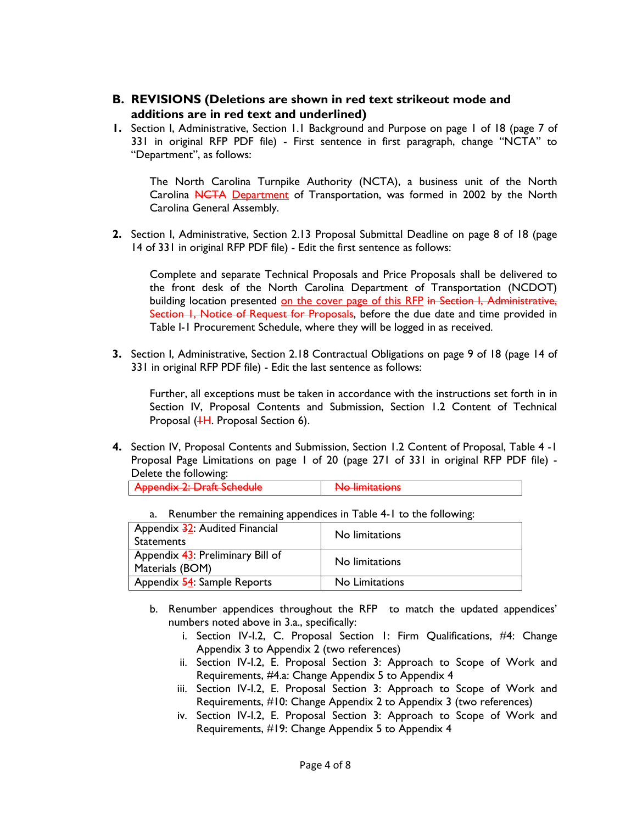- **B. REVISIONS (Deletions are shown in red text strikeout mode and additions are in red text and underlined)**
- **1.** Section I, Administrative, Section 1.1 Background and Purpose on page 1 of 18 (page 7 of 331 in original RFP PDF file) - First sentence in first paragraph, change "NCTA" to "Department", as follows:

The North Carolina Turnpike Authority (NCTA), a business unit of the North Carolina NCTA Department of Transportation, was formed in 2002 by the North Carolina General Assembly.

**2.** Section I, Administrative, Section 2.13 Proposal Submittal Deadline on page 8 of 18 (page 14 of 331 in original RFP PDF file) - Edit the first sentence as follows:

Complete and separate Technical Proposals and Price Proposals shall be delivered to the front desk of the North Carolina Department of Transportation (NCDOT) building location presented on the cover page of this RFP in Section I, Administrative, Section 1, Notice of Request for Proposals, before the due date and time provided in Table I-1 Procurement Schedule, where they will be logged in as received.

**3.** Section I, Administrative, Section 2.18 Contractual Obligations on page 9 of 18 (page 14 of 331 in original RFP PDF file) - Edit the last sentence as follows:

Further, all exceptions must be taken in accordance with the instructions set forth in in Section IV, Proposal Contents and Submission, Section 1.2 Content of Technical Proposal (<sup>1</sup>H. Proposal Section 6).

**4.** Section IV, Proposal Contents and Submission, Section 1.2 Content of Proposal, Table 4 -1 Proposal Page Limitations on page 1 of 20 (page 271 of 331 in original RFP PDF file) - Delete the following:

| Appondix 2: Draft Schodulo                                  | No limitations           |
|-------------------------------------------------------------|--------------------------|
| $\overline{I}$ reporters $\overline{I}$ . Praise ochic durc | <b>TYPE INTINGERATIO</b> |

| Appendix 32: Audited Financial<br><b>Statements</b>    | No limitations |
|--------------------------------------------------------|----------------|
| Appendix $43$ : Preliminary Bill of<br>Materials (BOM) | No limitations |
| Appendix 54: Sample Reports                            | No Limitations |

a. Renumber the remaining appendices in Table 4-1 to the following:

- b. Renumber appendices throughout the RFP to match the updated appendices' numbers noted above in 3.a., specifically:
	- i. Section IV-I.2, C. Proposal Section 1: Firm Qualifications, #4: Change Appendix 3 to Appendix 2 (two references)
	- ii. Section IV-I.2, E. Proposal Section 3: Approach to Scope of Work and Requirements, #4.a: Change Appendix 5 to Appendix 4
	- iii. Section IV-I.2, E. Proposal Section 3: Approach to Scope of Work and Requirements, #10: Change Appendix 2 to Appendix 3 (two references)
	- iv. Section IV-I.2, E. Proposal Section 3: Approach to Scope of Work and Requirements, #19: Change Appendix 5 to Appendix 4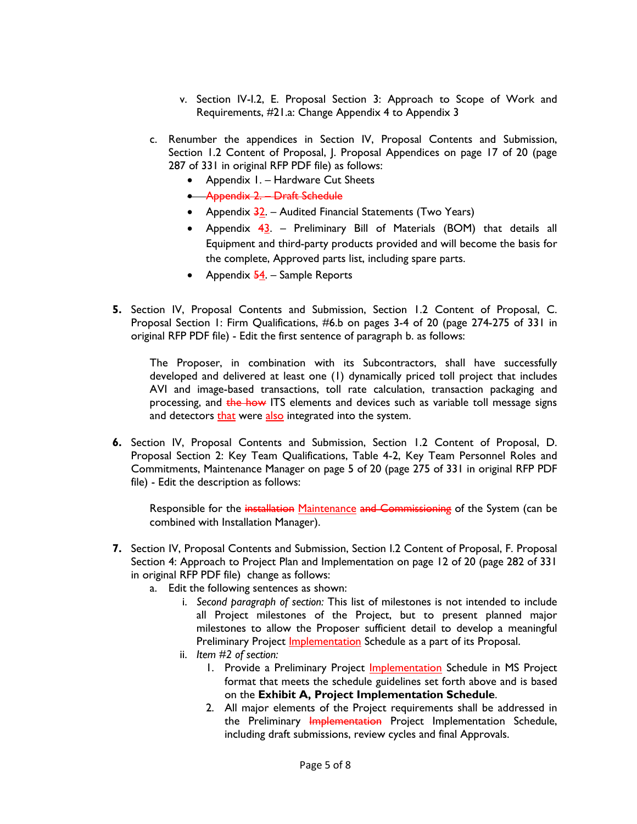- v. Section IV-I.2, E. Proposal Section 3: Approach to Scope of Work and Requirements, #21.a: Change Appendix 4 to Appendix 3
- c. Renumber the appendices in Section IV, Proposal Contents and Submission, Section 1.2 Content of Proposal, J. Proposal Appendices on page 17 of 20 (page 287 of 331 in original RFP PDF file) as follows:
	- Appendix 1. Hardware Cut Sheets
	- Appendix 2. Draft Schedule
	- Appendix  $\frac{32}{2}$ . Audited Financial Statements (Two Years)
	- Appendix  $43.$  Preliminary Bill of Materials (BOM) that details all Equipment and third-party products provided and will become the basis for the complete, Approved parts list, including spare parts.
	- Appendix  $\frac{54}{1}$ . Sample Reports
- **5.** Section IV, Proposal Contents and Submission, Section 1.2 Content of Proposal, C. Proposal Section 1: Firm Qualifications, #6.b on pages 3-4 of 20 (page 274-275 of 331 in original RFP PDF file) - Edit the first sentence of paragraph b. as follows:

The Proposer, in combination with its Subcontractors, shall have successfully developed and delivered at least one (1) dynamically priced toll project that includes AVI and image-based transactions, toll rate calculation, transaction packaging and processing, and the how ITS elements and devices such as variable toll message signs and detectors that were also integrated into the system.

**6.** Section IV, Proposal Contents and Submission, Section 1.2 Content of Proposal, D. Proposal Section 2: Key Team Qualifications, Table 4-2, Key Team Personnel Roles and Commitments, Maintenance Manager on page 5 of 20 (page 275 of 331 in original RFP PDF file) - Edit the description as follows:

Responsible for the installation Maintenance and Commissioning of the System (can be combined with Installation Manager).

- **7.** Section IV, Proposal Contents and Submission, Section I.2 Content of Proposal, F. Proposal Section 4: Approach to Project Plan and Implementation on page 12 of 20 (page 282 of 331 in original RFP PDF file) change as follows:
	- a. Edit the following sentences as shown:
		- i. *Second paragraph of section:* This list of milestones is not intended to include all Project milestones of the Project, but to present planned major milestones to allow the Proposer sufficient detail to develop a meaningful Preliminary Project Implementation Schedule as a part of its Proposal.
		- ii. *Item #2 of section:*
			- 1. Provide a Preliminary Project **Implementation** Schedule in MS Project format that meets the schedule guidelines set forth above and is based on the **Exhibit A, Project Implementation Schedule**.
			- 2. All major elements of the Project requirements shall be addressed in the Preliminary Implementation Project Implementation Schedule, including draft submissions, review cycles and final Approvals.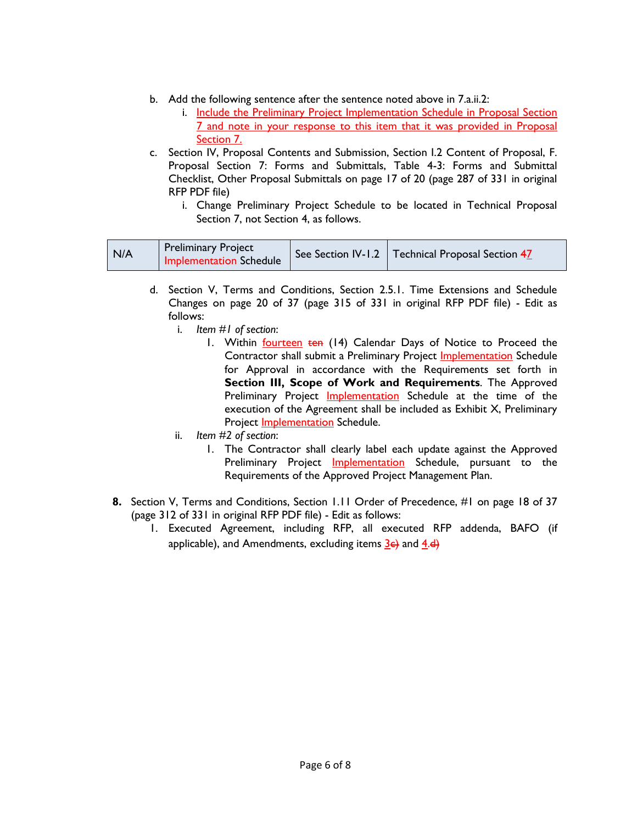- b. Add the following sentence after the sentence noted above in 7.a.ii.2:
	- i. Include the Preliminary Project Implementation Schedule in Proposal Section 7 and note in your response to this item that it was provided in Proposal Section 7.
- c. Section IV, Proposal Contents and Submission, Section I.2 Content of Proposal, F. Proposal Section 7: Forms and Submittals, Table 4-3: Forms and Submittal Checklist, Other Proposal Submittals on page 17 of 20 (page 287 of 331 in original RFP PDF file)
	- i. Change Preliminary Project Schedule to be located in Technical Proposal Section 7, not Section 4, as follows.

| N/A | <b>Preliminary Project</b><br>Implementation Schedule |  | See Section IV-1.2   Technical Proposal Section 47 |  |
|-----|-------------------------------------------------------|--|----------------------------------------------------|--|
|-----|-------------------------------------------------------|--|----------------------------------------------------|--|

- d. Section V, Terms and Conditions, Section 2.5.1. Time Extensions and Schedule Changes on page 20 of 37 (page 315 of 331 in original RFP PDF file) - Edit as follows:
	- i. *Item #1 of section*:
		- 1. Within **fourteen ten** (14) Calendar Days of Notice to Proceed the Contractor shall submit a Preliminary Project Implementation Schedule for Approval in accordance with the Requirements set forth in **Section III, Scope of Work and Requirements**. The Approved Preliminary Project Implementation Schedule at the time of the execution of the Agreement shall be included as Exhibit X, Preliminary Project Implementation Schedule.
	- ii. *Item #2 of section*:
		- 1. The Contractor shall clearly label each update against the Approved Preliminary Project **Implementation** Schedule, pursuant to the Requirements of the Approved Project Management Plan.
- **8.** Section V, Terms and Conditions, Section 1.11 Order of Precedence, #1 on page 18 of 37 (page 312 of 331 in original RFP PDF file) - Edit as follows:
	- 1. Executed Agreement, including RFP, all executed RFP addenda, BAFO (if applicable), and Amendments, excluding items  $\frac{3}{5}$  and  $\frac{4}{5}$ .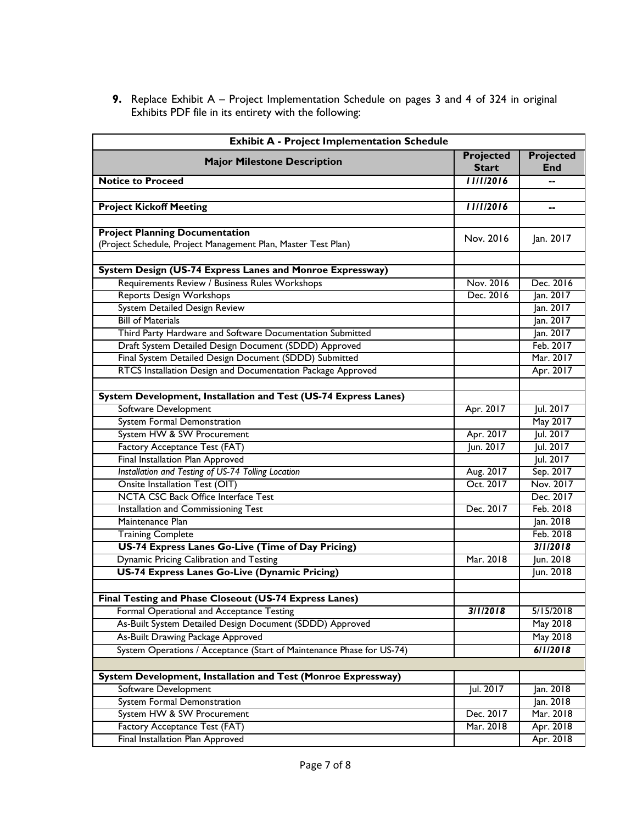**9.** Replace Exhibit A – Project Implementation Schedule on pages 3 and 4 of 324 in original Exhibits PDF file in its entirety with the following:

| <b>Exhibit A - Project Implementation Schedule</b>                                                          |                           |                         |  |  |
|-------------------------------------------------------------------------------------------------------------|---------------------------|-------------------------|--|--|
| <b>Major Milestone Description</b>                                                                          | Projected<br><b>Start</b> | Projected<br><b>End</b> |  |  |
| <b>Notice to Proceed</b>                                                                                    | 11/1/2016                 |                         |  |  |
|                                                                                                             |                           |                         |  |  |
| <b>Project Kickoff Meeting</b>                                                                              | 11/1/2016                 | --                      |  |  |
|                                                                                                             |                           |                         |  |  |
| <b>Project Planning Documentation</b>                                                                       | Nov. 2016                 | Jan. 2017               |  |  |
| (Project Schedule, Project Management Plan, Master Test Plan)                                               |                           |                         |  |  |
|                                                                                                             |                           |                         |  |  |
| System Design (US-74 Express Lanes and Monroe Expressway)<br>Requirements Review / Business Rules Workshops |                           |                         |  |  |
|                                                                                                             | Nov. 2016<br>Dec. 2016    | Dec. 2016               |  |  |
| <b>Reports Design Workshops</b>                                                                             |                           | Jan. 2017               |  |  |
| System Detailed Design Review<br><b>Bill of Materials</b>                                                   |                           | Jan. 2017<br>Jan. 2017  |  |  |
| Third Party Hardware and Software Documentation Submitted                                                   |                           | Jan. 2017               |  |  |
| Draft System Detailed Design Document (SDDD) Approved                                                       |                           | Feb. 2017               |  |  |
| Final System Detailed Design Document (SDDD) Submitted                                                      |                           | Mar. 2017               |  |  |
| RTCS Installation Design and Documentation Package Approved                                                 |                           | Apr. 2017               |  |  |
|                                                                                                             |                           |                         |  |  |
| System Development, Installation and Test (US-74 Express Lanes)                                             |                           |                         |  |  |
| Software Development                                                                                        | Apr. 2017                 | Jul. 2017               |  |  |
| System Formal Demonstration                                                                                 |                           | May 2017                |  |  |
| System HW & SW Procurement                                                                                  | Apr. 2017                 | Jul. 2017               |  |  |
| Factory Acceptance Test (FAT)                                                                               | Jun. 2017                 | Jul. 2017               |  |  |
| Final Installation Plan Approved                                                                            |                           | Jul. 2017               |  |  |
| Installation and Testing of US-74 Tolling Location                                                          | Aug. 2017                 | Sep. 2017               |  |  |
| <b>Onsite Installation Test (OIT)</b>                                                                       | Oct. 2017                 | Nov. 2017               |  |  |
| <b>NCTA CSC Back Office Interface Test</b>                                                                  |                           | Dec. 2017               |  |  |
| Installation and Commissioning Test                                                                         | Dec. 2017                 | Feb. 2018               |  |  |
| Maintenance Plan                                                                                            |                           | Jan. 2018               |  |  |
| <b>Training Complete</b>                                                                                    |                           | Feb. 2018               |  |  |
| US-74 Express Lanes Go-Live (Time of Day Pricing)                                                           |                           | 3/1/2018                |  |  |
| Dynamic Pricing Calibration and Testing                                                                     | Mar. 2018                 | Jun. 2018               |  |  |
| <b>US-74 Express Lanes Go-Live (Dynamic Pricing)</b>                                                        |                           | Jun. 2018               |  |  |
|                                                                                                             |                           |                         |  |  |
| Final Testing and Phase Closeout (US-74 Express Lanes)                                                      |                           |                         |  |  |
| Formal Operational and Acceptance Testing                                                                   | 3/1/2018                  | 5/15/2018               |  |  |
| As-Built System Detailed Design Document (SDDD) Approved                                                    |                           | May 2018                |  |  |
| As-Built Drawing Package Approved                                                                           |                           | May 2018                |  |  |
| System Operations / Acceptance (Start of Maintenance Phase for US-74)                                       |                           | 6/1/2018                |  |  |
|                                                                                                             |                           |                         |  |  |
| System Development, Installation and Test (Monroe Expressway)                                               |                           |                         |  |  |
| Software Development                                                                                        | Jul. 2017                 | Jan. 2018               |  |  |
| System Formal Demonstration                                                                                 |                           | Jan. 2018               |  |  |
| System HW & SW Procurement                                                                                  | Dec. 2017                 | Mar. 2018               |  |  |
| Factory Acceptance Test (FAT)                                                                               | Mar. 2018                 | Apr. 2018               |  |  |
| Final Installation Plan Approved                                                                            |                           | Apr. 2018               |  |  |